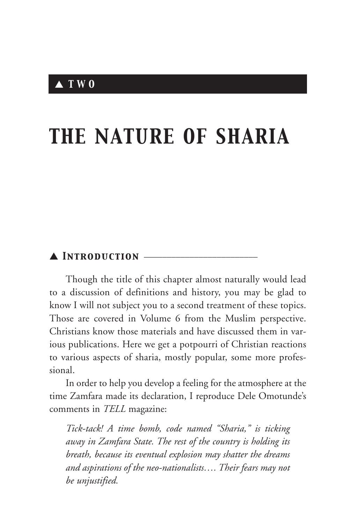# *THE NATURE OF SHARIA*

## ▲ *Introduction* \_\_\_\_\_\_\_\_\_\_\_\_\_\_\_\_\_\_\_\_\_\_\_\_\_

Though the title of this chapter almost naturally would lead to a discussion of definitions and history, you may be glad to know I will not subject you to a second treatment of these topics. Those are covered in Volume 6 from the Muslim perspective. Christians know those materials and have discussed them in various publications. Here we get a potpourri of Christian reactions to various aspects of sharia, mostly popular, some more professional.

In order to help you develop a feeling for the atmosphere at the time Zamfara made its declaration, I reproduce Dele Omotunde's comments in *TELL* magazine:

*Tick-tack! A time bomb, code named "Sharia," is ticking away in Zamfara State. The rest of the country is holding its breath, because its eventual explosion may shatter the dreams and aspirations of the neo-nationalists…. Their fears may not be unjustified.*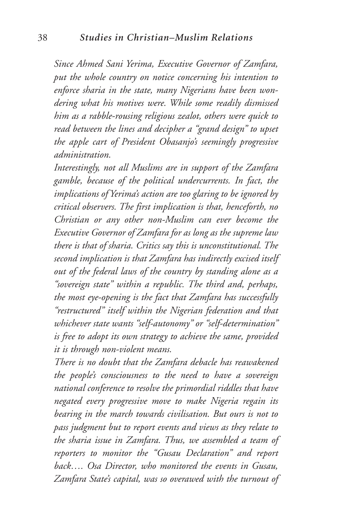*Since Ahmed Sani Yerima, Executive Governor of Zamfara, put the whole country on notice concerning his intention to enforce sharia in the state, many Nigerians have been wondering what his motives were. While some readily dismissed him as a rabble-rousing religious zealot, others were quick to read between the lines and decipher a "grand design" to upset the apple cart of President Obasanjo's seemingly progressive administration.*

*Interestingly, not all Muslims are in support of the Zamfara gamble, because of the political undercurrents. In fact, the implications of Yerima's action are too glaring to be ignored by critical observers. The first implication is that, henceforth, no Christian or any other non-Muslim can ever become the Executive Governor of Zamfara for as long as the supreme law there is that of sharia. Critics say this is unconstitutional. The second implication is that Zamfara has indirectly excised itself out of the federal laws of the country by standing alone as a "sovereign state" within a republic. The third and, perhaps, the most eye-opening is the fact that Zamfara has successfully "restructured" itself within the Nigerian federation and that whichever state wants "self-autonomy" or "self-determination" is free to adopt its own strategy to achieve the same, provided it is through non-violent means.*

*There is no doubt that the Zamfara debacle has reawakened the people's consciousness to the need to have a sovereign national conference to resolve the primordial riddles that have negated every progressive move to make Nigeria regain its bearing in the march towards civilisation. But ours is not to pass judgment but to report events and views as they relate to the sharia issue in Zamfara. Thus, we assembled a team of reporters to monitor the "Gusau Declaration" and report back…. Osa Director, who monitored the events in Gusau, Zamfara State's capital, was so overawed with the turnout of*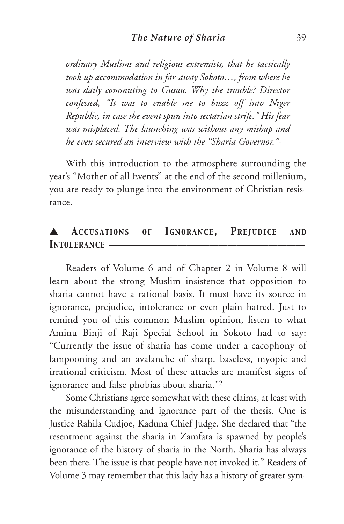*ordinary Muslims and religious extremists, that he tactically took up accommodation in far-away Sokoto…, from where he was daily commuting to Gusau. Why the trouble? Director confessed, "It was to enable me to buzz off into Niger Republic, in case the event spun into sectarian strife." His fear was misplaced. The launching was without any mishap and he even secured an interview with the "Sharia Governor."*<sup>1</sup>

With this introduction to the atmosphere surrounding the year's "Mother of all Events" at the end of the second millenium, you are ready to plunge into the environment of Christian resistance.

# ▲ *ACCUSATIONS OF IGNORANCE, PREJUDICE AND* **INTOLERANCE** -

Readers of Volume 6 and of Chapter 2 in Volume 8 will learn about the strong Muslim insistence that opposition to sharia cannot have a rational basis. It must have its source in ignorance, prejudice, intolerance or even plain hatred. Just to remind you of this common Muslim opinion, listen to what Aminu Binji of Raji Special School in Sokoto had to say: "Currently the issue of sharia has come under a cacophony of lampooning and an avalanche of sharp, baseless, myopic and irrational criticism. Most of these attacks are manifest signs of ignorance and false phobias about sharia."2

Some Christians agree somewhat with these claims, at least with the misunderstanding and ignorance part of the thesis. One is Justice Rahila Cudjoe, Kaduna Chief Judge. She declared that "the resentment against the sharia in Zamfara is spawned by people's ignorance of the history of sharia in the North. Sharia has always been there. The issue is that people have not invoked it." Readers of Volume 3 may remember that this lady has a history of greater sym-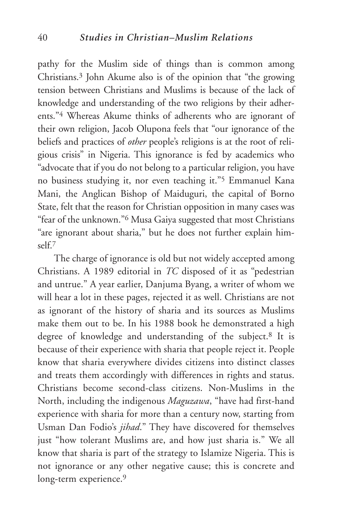pathy for the Muslim side of things than is common among Christians.3 John Akume also is of the opinion that "the growing tension between Christians and Muslims is because of the lack of knowledge and understanding of the two religions by their adherents."4 Whereas Akume thinks of adherents who are ignorant of their own religion, Jacob Olupona feels that "our ignorance of the beliefs and practices of *other* people's religions is at the root of religious crisis" in Nigeria. This ignorance is fed by academics who "advocate that if you do not belong to a particular religion, you have no business studying it, nor even teaching it."5 Emmanuel Kana Mani, the Anglican Bishop of Maiduguri, the capital of Borno State, felt that the reason for Christian opposition in many cases was "fear of the unknown."6 Musa Gaiya suggested that most Christians "are ignorant about sharia," but he does not further explain himself.7

The charge of ignorance is old but not widely accepted among Christians. A 1989 editorial in *TC* disposed of it as "pedestrian and untrue." A year earlier, Danjuma Byang, a writer of whom we will hear a lot in these pages, rejected it as well. Christians are not as ignorant of the history of sharia and its sources as Muslims make them out to be. In his 1988 book he demonstrated a high degree of knowledge and understanding of the subject.8 It is because of their experience with sharia that people reject it. People know that sharia everywhere divides citizens into distinct classes and treats them accordingly with differences in rights and status. Christians become second-class citizens. Non-Muslims in the North, including the indigenous *Maguzawa*, "have had first-hand experience with sharia for more than a century now, starting from Usman Dan Fodio's *jihad*." They have discovered for themselves just "how tolerant Muslims are, and how just sharia is." We all know that sharia is part of the strategy to Islamize Nigeria. This is not ignorance or any other negative cause; this is concrete and long-term experience.<sup>9</sup>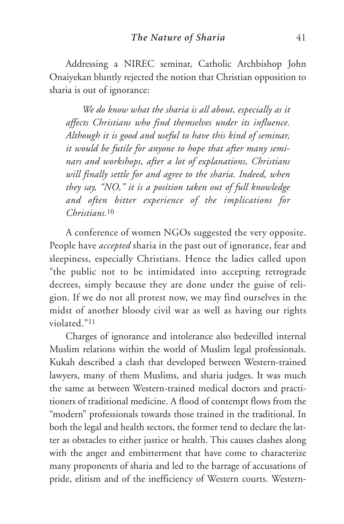Addressing a NIREC seminar, Catholic Archbishop John Onaiyekan bluntly rejected the notion that Christian opposition to sharia is out of ignorance:

*We do know what the sharia is all about, especially as it affects Christians who find themselves under its influence. Although it is good and useful to have this kind of seminar, it would be futile for anyone to hope that after many seminars and workshops, after a lot of explanations, Christians will finally settle for and agree to the sharia. Indeed, when they say, "NO," it is a position taken out of full knowledge and often bitter experience of the implications for Christians.*<sup>10</sup>

A conference of women NGOs suggested the very opposite. People have *accepted* sharia in the past out of ignorance, fear and sleepiness, especially Christians. Hence the ladies called upon "the public not to be intimidated into accepting retrograde decrees, simply because they are done under the guise of religion. If we do not all protest now, we may find ourselves in the midst of another bloody civil war as well as having our rights violated."11

Charges of ignorance and intolerance also bedevilled internal Muslim relations within the world of Muslim legal professionals. Kukah described a clash that developed between Western-trained lawyers, many of them Muslims, and sharia judges. It was much the same as between Western-trained medical doctors and practitioners of traditional medicine. A flood of contempt flows from the "modern" professionals towards those trained in the traditional. In both the legal and health sectors, the former tend to declare the latter as obstacles to either justice or health. This causes clashes along with the anger and embitterment that have come to characterize many proponents of sharia and led to the barrage of accusations of pride, elitism and of the inefficiency of Western courts. Western-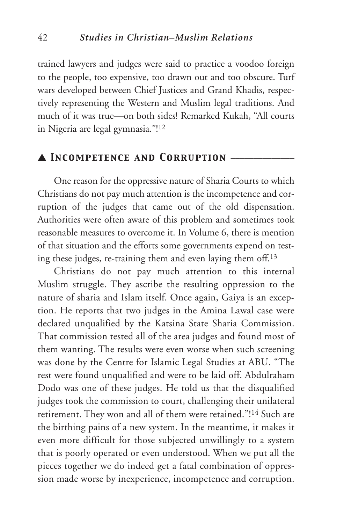trained lawyers and judges were said to practice a voodoo foreign to the people, too expensive, too drawn out and too obscure. Turf wars developed between Chief Justices and Grand Khadis, respectively representing the Western and Muslim legal traditions. And much of it was true—on both sides! Remarked Kukah, "All courts in Nigeria are legal gymnasia."! 12

# ▲ *Incompetence and Corruption* \_\_\_\_\_\_\_\_\_\_\_\_\_\_

One reason for the oppressive nature of Sharia Courts to which Christians do not pay much attention is the incompetence and corruption of the judges that came out of the old dispensation. Authorities were often aware of this problem and sometimes took reasonable measures to overcome it. In Volume 6, there is mention of that situation and the efforts some governments expend on testing these judges, re-training them and even laying them off.13

Christians do not pay much attention to this internal Muslim struggle. They ascribe the resulting oppression to the nature of sharia and Islam itself. Once again, Gaiya is an exception. He reports that two judges in the Amina Lawal case were declared unqualified by the Katsina State Sharia Commission. That commission tested all of the area judges and found most of them wanting. The results were even worse when such screening was done by the Centre for Islamic Legal Studies at ABU. "The rest were found unqualified and were to be laid off. Abdulraham Dodo was one of these judges. He told us that the disqualified judges took the commission to court, challenging their unilateral retirement. They won and all of them were retained."! <sup>14</sup> Such are the birthing pains of a new system. In the meantime, it makes it even more difficult for those subjected unwillingly to a system that is poorly operated or even understood. When we put all the pieces together we do indeed get a fatal combination of oppression made worse by inexperience, incompetence and corruption.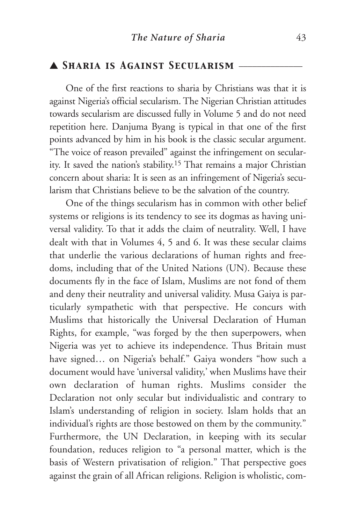## ▲ *Sharia is Against Secularism* \_\_\_\_\_\_\_\_\_\_\_\_\_\_

One of the first reactions to sharia by Christians was that it is against Nigeria's official secularism. The Nigerian Christian attitudes towards secularism are discussed fully in Volume 5 and do not need repetition here. Danjuma Byang is typical in that one of the first points advanced by him in his book is the classic secular argument. "The voice of reason prevailed" against the infringement on secularity. It saved the nation's stability.15 That remains a major Christian concern about sharia: It is seen as an infringement of Nigeria's secularism that Christians believe to be the salvation of the country.

One of the things secularism has in common with other belief systems or religions is its tendency to see its dogmas as having universal validity. To that it adds the claim of neutrality. Well, I have dealt with that in Volumes 4, 5 and 6. It was these secular claims that underlie the various declarations of human rights and freedoms, including that of the United Nations (UN). Because these documents fly in the face of Islam, Muslims are not fond of them and deny their neutrality and universal validity. Musa Gaiya is particularly sympathetic with that perspective. He concurs with Muslims that historically the Universal Declaration of Human Rights, for example, "was forged by the then superpowers, when Nigeria was yet to achieve its independence. Thus Britain must have signed… on Nigeria's behalf." Gaiya wonders "how such a document would have 'universal validity,' when Muslims have their own declaration of human rights. Muslims consider the Declaration not only secular but individualistic and contrary to Islam's understanding of religion in society. Islam holds that an individual's rights are those bestowed on them by the community." Furthermore, the UN Declaration, in keeping with its secular foundation, reduces religion to "a personal matter, which is the basis of Western privatisation of religion." That perspective goes against the grain of all African religions. Religion is wholistic, com-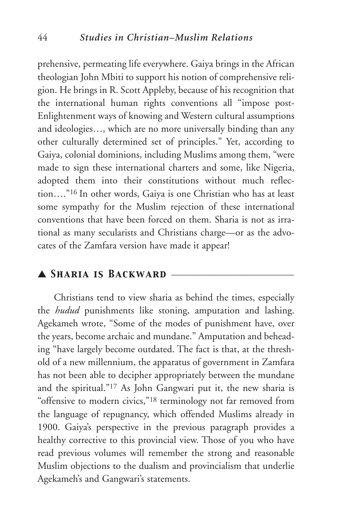prehensive, permeating life everywhere. Gaiya brings in the African theologian John Mbiti to support his notion of comprehensive religion. He brings in R. Scott Appleby, because of his recognition that the international human rights conventions all "impose post-Enlightenment ways of knowing and Western cultural assumptions and ideologies…, which are no more universally binding than any other culturally determined set of principles." Yet, according to Gaiya, colonial dominions, including Muslims among them, "were made to sign these international charters and some, like Nigeria, adopted them into their constitutions without much reflection…."16 In other words, Gaiya is one Christian who has at least some sympathy for the Muslim rejection of these international conventions that have been forced on them. Sharia is not as irrational as many secularists and Christians charge—or as the advocates of the Zamfara version have made it appear!

## ▲ *Sharia is Backward* \_\_\_\_\_\_\_\_\_\_\_\_\_\_\_\_\_\_\_\_\_\_\_\_\_\_\_

Christians tend to view sharia as behind the times, especially the *hudud* punishments like stoning, amputation and lashing. Agekameh wrote, "Some of the modes of punishment have, over the years, become archaic and mundane." Amputation and beheading "have largely become outdated. The fact is that, at the threshold of a new millennium, the apparatus of government in Zamfara has not been able to decipher appropriately between the mundane and the spiritual."17 As John Gangwari put it, the new sharia is "offensive to modern civics,"18 terminology not far removed from the language of repugnancy, which offended Muslims already in 1900. Gaiya's perspective in the previous paragraph provides a healthy corrective to this provincial view. Those of you who have read previous volumes will remember the strong and reasonable Muslim objections to the dualism and provincialism that underlie Agekameh's and Gangwari's statements.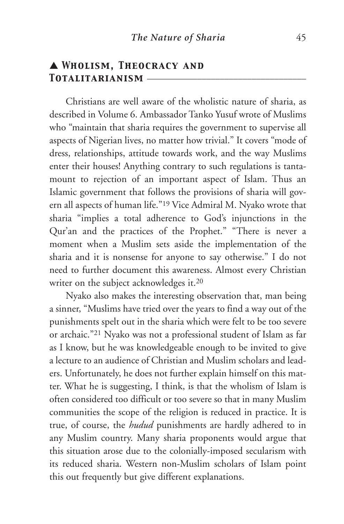# ▲ *Wholism, Theocracy and Totalitarianism* \_\_\_\_\_\_\_\_\_\_\_\_\_\_\_\_\_\_\_\_\_\_\_\_\_\_\_\_\_\_\_\_\_\_\_

Christians are well aware of the wholistic nature of sharia, as described in Volume 6. Ambassador Tanko Yusuf wrote of Muslims who "maintain that sharia requires the government to supervise all aspects of Nigerian lives, no matter how trivial." It covers "mode of dress, relationships, attitude towards work, and the way Muslims enter their houses! Anything contrary to such regulations is tantamount to rejection of an important aspect of Islam. Thus an Islamic government that follows the provisions of sharia will govern all aspects of human life."19 Vice Admiral M. Nyako wrote that sharia "implies a total adherence to God's injunctions in the Qur'an and the practices of the Prophet." "There is never a moment when a Muslim sets aside the implementation of the sharia and it is nonsense for anyone to say otherwise." I do not need to further document this awareness. Almost every Christian writer on the subject acknowledges it.<sup>20</sup>

Nyako also makes the interesting observation that, man being a sinner, "Muslims have tried over the years to find a way out of the punishments spelt out in the sharia which were felt to be too severe or archaic."21 Nyako was not a professional student of Islam as far as I know, but he was knowledgeable enough to be invited to give a lecture to an audience of Christian and Muslim scholars and leaders. Unfortunately, he does not further explain himself on this matter. What he is suggesting, I think, is that the wholism of Islam is often considered too difficult or too severe so that in many Muslim communities the scope of the religion is reduced in practice. It is true, of course, the *hudud* punishments are hardly adhered to in any Muslim country. Many sharia proponents would argue that this situation arose due to the colonially-imposed secularism with its reduced sharia. Western non-Muslim scholars of Islam point this out frequently but give different explanations.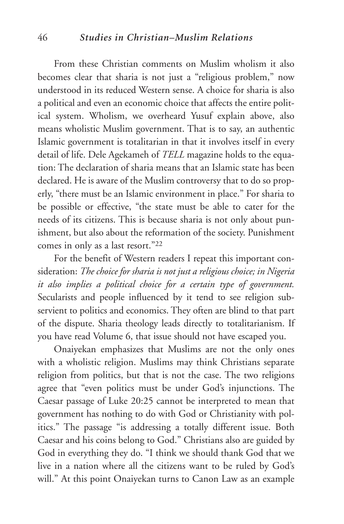#### 46 *Studies in Christian–Muslim Relations*

From these Christian comments on Muslim wholism it also becomes clear that sharia is not just a "religious problem," now understood in its reduced Western sense. A choice for sharia is also a political and even an economic choice that affects the entire political system. Wholism, we overheard Yusuf explain above, also means wholistic Muslim government. That is to say, an authentic Islamic government is totalitarian in that it involves itself in every detail of life. Dele Agekameh of *TELL* magazine holds to the equation: The declaration of sharia means that an Islamic state has been declared. He is aware of the Muslim controversy that to do so properly, "there must be an Islamic environment in place." For sharia to be possible or effective, "the state must be able to cater for the needs of its citizens. This is because sharia is not only about punishment, but also about the reformation of the society. Punishment comes in only as a last resort."22

For the benefit of Western readers I repeat this important consideration: *The choice for sharia is not just a religious choice; in Nigeria it also implies a political choice for a certain type of government.* Secularists and people influenced by it tend to see religion subservient to politics and economics. They often are blind to that part of the dispute. Sharia theology leads directly to totalitarianism. If you have read Volume 6, that issue should not have escaped you.

Onaiyekan emphasizes that Muslims are not the only ones with a wholistic religion. Muslims may think Christians separate religion from politics, but that is not the case. The two religions agree that "even politics must be under God's injunctions. The Caesar passage of Luke 20:25 cannot be interpreted to mean that government has nothing to do with God or Christianity with politics." The passage "is addressing a totally different issue. Both Caesar and his coins belong to God." Christians also are guided by God in everything they do. "I think we should thank God that we live in a nation where all the citizens want to be ruled by God's will." At this point Onaiyekan turns to Canon Law as an example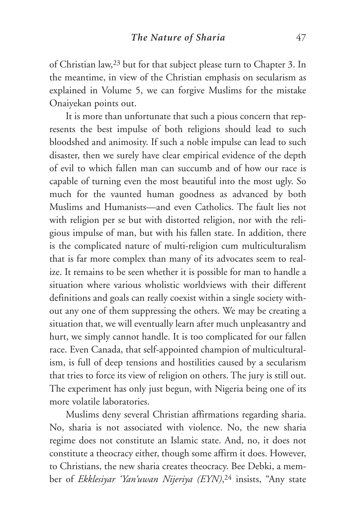of Christian law,23 but for that subject please turn to Chapter 3. In the meantime, in view of the Christian emphasis on secularism as explained in Volume 5, we can forgive Muslims for the mistake Onaiyekan points out.

It is more than unfortunate that such a pious concern that represents the best impulse of both religions should lead to such bloodshed and animosity. If such a noble impulse can lead to such disaster, then we surely have clear empirical evidence of the depth of evil to which fallen man can succumb and of how our race is capable of turning even the most beautiful into the most ugly. So much for the vaunted human goodness as advanced by both Muslims and Humanists—and even Catholics. The fault lies not with religion per se but with distorted religion, nor with the religious impulse of man, but with his fallen state. In addition, there is the complicated nature of multi-religion cum multiculturalism that is far more complex than many of its advocates seem to realize. It remains to be seen whether it is possible for man to handle a situation where various wholistic worldviews with their different definitions and goals can really coexist within a single society without any one of them suppressing the others. We may be creating a situation that, we will eventually learn after much unpleasantry and hurt, we simply cannot handle. It is too complicated for our fallen race. Even Canada, that self-appointed champion of multiculturalism, is full of deep tensions and hostilities caused by a secularism that tries to force its view of religion on others. The jury is still out. The experiment has only just begun, with Nigeria being one of its more volatile laboratories.

Muslims deny several Christian affirmations regarding sharia. No, sharia is not associated with violence. No, the new sharia regime does not constitute an Islamic state. And, no, it does not constitute a theocracy either, though some affirm it does. However, to Christians, the new sharia creates theocracy. Bee Debki, a member of *Ekklesiyar 'Yan'uwan Nijeriya (EYN)*,24 insists, "Any state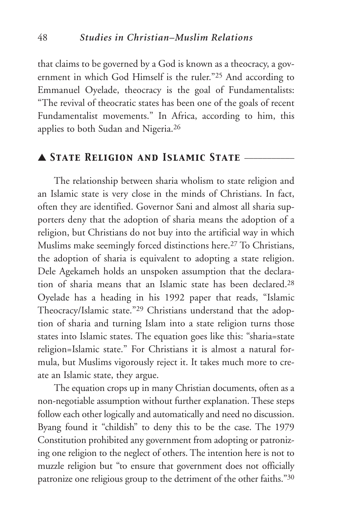that claims to be governed by a God is known as a theocracy, a government in which God Himself is the ruler."25 And according to Emmanuel Oyelade, theocracy is the goal of Fundamentalists: "The revival of theocratic states has been one of the goals of recent Fundamentalist movements." In Africa, according to him, this applies to both Sudan and Nigeria.26

# ▲ *State Religion and Islamic State* \_\_\_\_\_\_\_\_\_\_\_

The relationship between sharia wholism to state religion and an Islamic state is very close in the minds of Christians. In fact, often they are identified. Governor Sani and almost all sharia supporters deny that the adoption of sharia means the adoption of a religion, but Christians do not buy into the artificial way in which Muslims make seemingly forced distinctions here.27 To Christians, the adoption of sharia is equivalent to adopting a state religion. Dele Agekameh holds an unspoken assumption that the declaration of sharia means that an Islamic state has been declared.28 Oyelade has a heading in his 1992 paper that reads, "Islamic Theocracy/Islamic state."29 Christians understand that the adoption of sharia and turning Islam into a state religion turns those states into Islamic states. The equation goes like this: "sharia=state religion=Islamic state." For Christians it is almost a natural formula, but Muslims vigorously reject it. It takes much more to create an Islamic state, they argue.

The equation crops up in many Christian documents, often as a non-negotiable assumption without further explanation. These steps follow each other logically and automatically and need no discussion. Byang found it "childish" to deny this to be the case. The 1979 Constitution prohibited any government from adopting or patronizing one religion to the neglect of others. The intention here is not to muzzle religion but "to ensure that government does not officially patronize one religious group to the detriment of the other faiths."30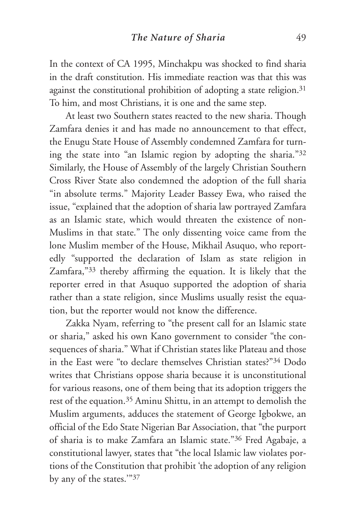In the context of CA 1995, Minchakpu was shocked to find sharia in the draft constitution. His immediate reaction was that this was against the constitutional prohibition of adopting a state religion.<sup>31</sup> To him, and most Christians, it is one and the same step.

At least two Southern states reacted to the new sharia. Though Zamfara denies it and has made no announcement to that effect, the Enugu State House of Assembly condemned Zamfara for turning the state into "an Islamic region by adopting the sharia."32 Similarly, the House of Assembly of the largely Christian Southern Cross River State also condemned the adoption of the full sharia "in absolute terms." Majority Leader Bassey Ewa, who raised the issue, "explained that the adoption of sharia law portrayed Zamfara as an Islamic state, which would threaten the existence of non-Muslims in that state." The only dissenting voice came from the lone Muslim member of the House, Mikhail Asuquo, who reportedly "supported the declaration of Islam as state religion in Zamfara,"33 thereby affirming the equation. It is likely that the reporter erred in that Asuquo supported the adoption of sharia rather than a state religion, since Muslims usually resist the equation, but the reporter would not know the difference.

Zakka Nyam, referring to "the present call for an Islamic state or sharia," asked his own Kano government to consider "the consequences of sharia." What if Christian states like Plateau and those in the East were "to declare themselves Christian states?"34 Dodo writes that Christians oppose sharia because it is unconstitutional for various reasons, one of them being that its adoption triggers the rest of the equation.35 Aminu Shittu, in an attempt to demolish the Muslim arguments, adduces the statement of George Igbokwe, an official of the Edo State Nigerian Bar Association, that "the purport of sharia is to make Zamfara an Islamic state."36 Fred Agabaje, a constitutional lawyer, states that "the local Islamic law violates portions of the Constitution that prohibit 'the adoption of any religion by any of the states.'"37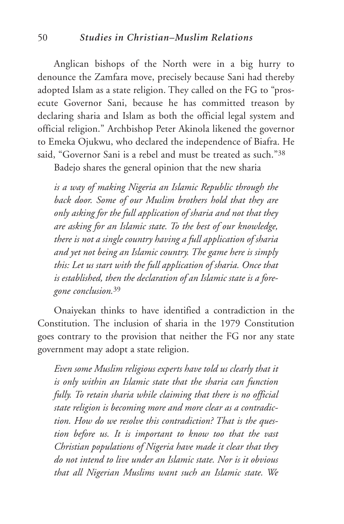#### 50 *Studies in Christian–Muslim Relations*

Anglican bishops of the North were in a big hurry to denounce the Zamfara move, precisely because Sani had thereby adopted Islam as a state religion. They called on the FG to "prosecute Governor Sani, because he has committed treason by declaring sharia and Islam as both the official legal system and official religion." Archbishop Peter Akinola likened the governor to Emeka Ojukwu, who declared the independence of Biafra. He said, "Governor Sani is a rebel and must be treated as such."38

Badejo shares the general opinion that the new sharia

*is a way of making Nigeria an Islamic Republic through the back door. Some of our Muslim brothers hold that they are only asking for the full application of sharia and not that they are asking for an Islamic state. To the best of our knowledge, there is not a single country having a full application of sharia and yet not being an Islamic country. The game here is simply this: Let us start with the full application of sharia. Once that is established, then the declaration of an Islamic state is a foregone conclusion.*<sup>39</sup>

Onaiyekan thinks to have identified a contradiction in the Constitution. The inclusion of sharia in the 1979 Constitution goes contrary to the provision that neither the FG nor any state government may adopt a state religion.

*Even some Muslim religious experts have told us clearly that it is only within an Islamic state that the sharia can function fully. To retain sharia while claiming that there is no official state religion is becoming more and more clear as a contradiction. How do we resolve this contradiction? That is the question before us. It is important to know too that the vast Christian populations of Nigeria have made it clear that they do not intend to live under an Islamic state. Nor is it obvious that all Nigerian Muslims want such an Islamic state. We*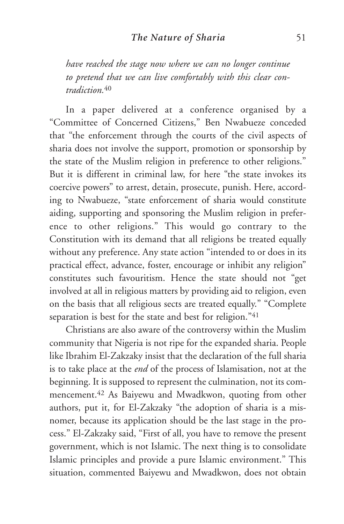*have reached the stage now where we can no longer continue to pretend that we can live comfortably with this clear contradiction.*<sup>40</sup>

In a paper delivered at a conference organised by a "Committee of Concerned Citizens," Ben Nwabueze conceded that "the enforcement through the courts of the civil aspects of sharia does not involve the support, promotion or sponsorship by the state of the Muslim religion in preference to other religions." But it is different in criminal law, for here "the state invokes its coercive powers" to arrest, detain, prosecute, punish. Here, according to Nwabueze, "state enforcement of sharia would constitute aiding, supporting and sponsoring the Muslim religion in preference to other religions." This would go contrary to the Constitution with its demand that all religions be treated equally without any preference. Any state action "intended to or does in its practical effect, advance, foster, encourage or inhibit any religion" constitutes such favouritism. Hence the state should not "get involved at all in religious matters by providing aid to religion, even on the basis that all religious sects are treated equally." "Complete separation is best for the state and best for religion."41

Christians are also aware of the controversy within the Muslim community that Nigeria is not ripe for the expanded sharia. People like Ibrahim El-Zakzaky insist that the declaration of the full sharia is to take place at the *end* of the process of Islamisation, not at the beginning. It is supposed to represent the culmination, not its commencement.42 As Baiyewu and Mwadkwon, quoting from other authors, put it, for El-Zakzaky "the adoption of sharia is a misnomer, because its application should be the last stage in the process." El-Zakzaky said, "First of all, you have to remove the present government, which is not Islamic. The next thing is to consolidate Islamic principles and provide a pure Islamic environment." This situation, commented Baiyewu and Mwadkwon, does not obtain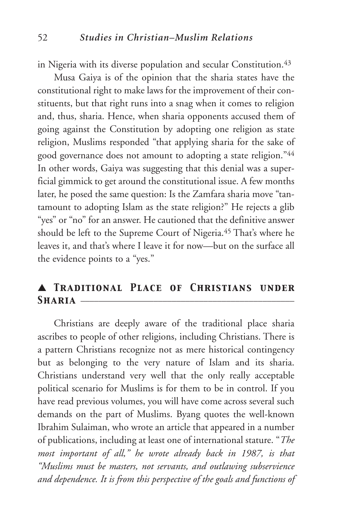in Nigeria with its diverse population and secular Constitution.<sup>43</sup>

Musa Gaiya is of the opinion that the sharia states have the constitutional right to make laws for the improvement of their constituents, but that right runs into a snag when it comes to religion and, thus, sharia. Hence, when sharia opponents accused them of going against the Constitution by adopting one religion as state religion, Muslims responded "that applying sharia for the sake of good governance does not amount to adopting a state religion."44 In other words, Gaiya was suggesting that this denial was a superficial gimmick to get around the constitutional issue. A few months later, he posed the same question: Is the Zamfara sharia move "tantamount to adopting Islam as the state religion?" He rejects a glib "yes" or "no" for an answer. He cautioned that the definitive answer should be left to the Supreme Court of Nigeria.45 That's where he leaves it, and that's where I leave it for now—but on the surface all the evidence points to a "yes."

## ▲ *Traditional Place of Christians under*  $S_{\text{HARIA}}$   $-$

Christians are deeply aware of the traditional place sharia ascribes to people of other religions, including Christians. There is a pattern Christians recognize not as mere historical contingency but as belonging to the very nature of Islam and its sharia. Christians understand very well that the only really acceptable political scenario for Muslims is for them to be in control. If you have read previous volumes, you will have come across several such demands on the part of Muslims. Byang quotes the well-known Ibrahim Sulaiman, who wrote an article that appeared in a number of publications, including at least one of international stature. "*The most important of all," he wrote already back in 1987, is that "Muslims must be masters, not servants, and outlawing subservience and dependence. It is from this perspective of the goals and functions of*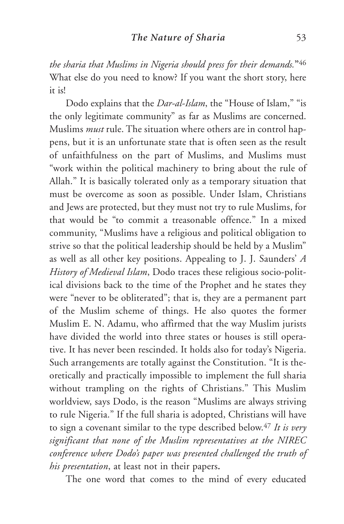*the sharia that Muslims in Nigeria should press for their demands.***"**<sup>46</sup> What else do you need to know? If you want the short story, here it is!

Dodo explains that the *Dar-al-Islam*, the "House of Islam," "is the only legitimate community" as far as Muslims are concerned. Muslims *must* rule. The situation where others are in control happens, but it is an unfortunate state that is often seen as the result of unfaithfulness on the part of Muslims, and Muslims must "work within the political machinery to bring about the rule of Allah." It is basically tolerated only as a temporary situation that must be overcome as soon as possible. Under Islam, Christians and Jews are protected, but they must not try to rule Muslims, for that would be "to commit a treasonable offence." In a mixed community, "Muslims have a religious and political obligation to strive so that the political leadership should be held by a Muslim" as well as all other key positions. Appealing to J. J. Saunders' *A History of Medieval Islam*, Dodo traces these religious socio-political divisions back to the time of the Prophet and he states they were "never to be obliterated"; that is, they are a permanent part of the Muslim scheme of things. He also quotes the former Muslim E. N. Adamu, who affirmed that the way Muslim jurists have divided the world into three states or houses is still operative. It has never been rescinded. It holds also for today's Nigeria. Such arrangements are totally against the Constitution. "It is theoretically and practically impossible to implement the full sharia without trampling on the rights of Christians." This Muslim worldview, says Dodo, is the reason "Muslims are always striving to rule Nigeria." If the full sharia is adopted, Christians will have to sign a covenant similar to the type described below.47 *It is very significant that none of the Muslim representatives at the NIREC conference where Dodo's paper was presented challenged the truth of his presentation*, at least not in their papers**.**

The one word that comes to the mind of every educated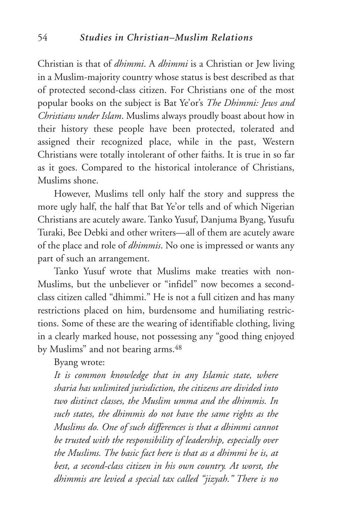Christian is that of *dhimmi*. A *dhimmi* is a Christian or Jew living in a Muslim-majority country whose status is best described as that of protected second-class citizen. For Christians one of the most popular books on the subject is Bat Ye'or's *The Dhimmi: Jews and Christians under Islam*. Muslims always proudly boast about how in their history these people have been protected, tolerated and assigned their recognized place, while in the past, Western Christians were totally intolerant of other faiths. It is true in so far as it goes. Compared to the historical intolerance of Christians, Muslims shone.

However, Muslims tell only half the story and suppress the more ugly half, the half that Bat Ye'or tells and of which Nigerian Christians are acutely aware. Tanko Yusuf, Danjuma Byang, Yusufu Turaki, Bee Debki and other writers—all of them are acutely aware of the place and role of *dhimmis*. No one is impressed or wants any part of such an arrangement.

Tanko Yusuf wrote that Muslims make treaties with non-Muslims, but the unbeliever or "infidel" now becomes a secondclass citizen called "dhimmi." He is not a full citizen and has many restrictions placed on him, burdensome and humiliating restrictions. Some of these are the wearing of identifiable clothing, living in a clearly marked house, not possessing any "good thing enjoyed by Muslims" and not bearing arms.<sup>48</sup>

Byang wrote:

*It is common knowledge that in any Islamic state, where sharia has unlimited jurisdiction, the citizens are divided into two distinct classes, the Muslim umma and the dhimmis. In such states, the dhimmis do not have the same rights as the Muslims do. One of such differences is that a dhimmi cannot be trusted with the responsibility of leadership, especially over the Muslims. The basic fact here is that as a dhimmi he is, at best, a second-class citizen in his own country. At worst, the dhimmis are levied a special tax called "jizyah." There is no*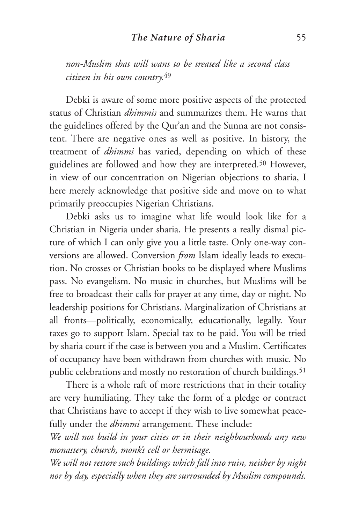*non-Muslim that will want to be treated like a second class citizen in his own country.*<sup>49</sup>

Debki is aware of some more positive aspects of the protected status of Christian *dhimmis* and summarizes them. He warns that the guidelines offered by the Qur'an and the Sunna are not consistent. There are negative ones as well as positive. In history, the treatment of *dhimmi* has varied, depending on which of these guidelines are followed and how they are interpreted.<sup>50</sup> However, in view of our concentration on Nigerian objections to sharia, I here merely acknowledge that positive side and move on to what primarily preoccupies Nigerian Christians.

Debki asks us to imagine what life would look like for a Christian in Nigeria under sharia. He presents a really dismal picture of which I can only give you a little taste. Only one-way conversions are allowed. Conversion *from* Islam ideally leads to execution. No crosses or Christian books to be displayed where Muslims pass. No evangelism. No music in churches, but Muslims will be free to broadcast their calls for prayer at any time, day or night. No leadership positions for Christians. Marginalization of Christians at all fronts—politically, economically, educationally, legally. Your taxes go to support Islam. Special tax to be paid. You will be tried by sharia court if the case is between you and a Muslim. Certificates of occupancy have been withdrawn from churches with music. No public celebrations and mostly no restoration of church buildings.<sup>51</sup>

There is a whole raft of more restrictions that in their totality are very humiliating. They take the form of a pledge or contract that Christians have to accept if they wish to live somewhat peacefully under the *dhimmi* arrangement. These include:

*We will not build in your cities or in their neighbourhoods any new monastery, church, monk's cell or hermitage.*

*We will not restore such buildings which fall into ruin, neither by night nor by day, especially when they are surrounded by Muslim compounds.*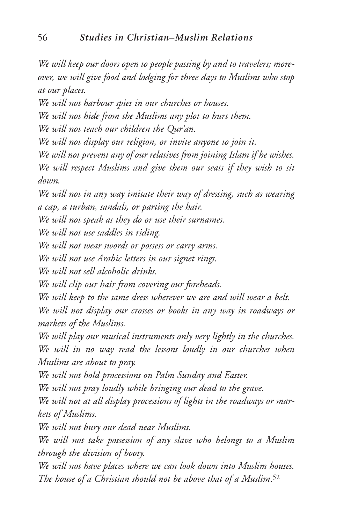*We will keep our doors open to people passing by and to travelers; moreover, we will give food and lodging for three days to Muslims who stop at our places.*

*We will not harbour spies in our churches or houses.*

*We will not hide from the Muslims any plot to hurt them.*

*We will not teach our children the Qur'an.*

*We will not display our religion, or invite anyone to join it.*

*We will not prevent any of our relatives from joining Islam if he wishes. We will respect Muslims and give them our seats if they wish to sit down.*

*We will not in any way imitate their way of dressing, such as wearing a cap, a turban, sandals, or parting the hair.*

*We will not speak as they do or use their surnames.*

*We will not use saddles in riding.*

*We will not wear swords or possess or carry arms.*

*We will not use Arabic letters in our signet rings.*

*We will not sell alcoholic drinks.*

*We will clip our hair from covering our foreheads.*

*We will keep to the same dress wherever we are and will wear a belt.*

*We will not display our crosses or books in any way in roadways or markets of the Muslims.*

*We will play our musical instruments only very lightly in the churches. We will in no way read the lessons loudly in our churches when Muslims are about to pray.*

*We will not hold processions on Palm Sunday and Easter.*

*We will not pray loudly while bringing our dead to the grave.*

*We will not at all display processions of lights in the roadways or markets of Muslims.*

*We will not bury our dead near Muslims.*

*We will not take possession of any slave who belongs to a Muslim through the division of booty.*

*We will not have places where we can look down into Muslim houses. The house of a Christian should not be above that of a Muslim*.52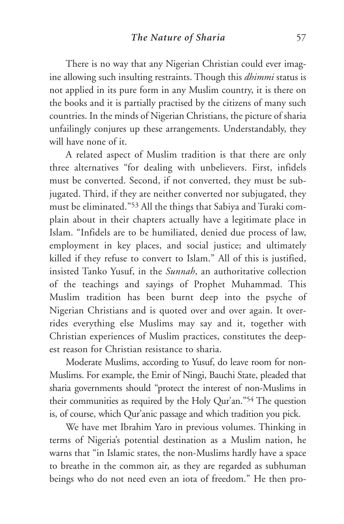There is no way that any Nigerian Christian could ever imagine allowing such insulting restraints. Though this *dhimmi* status is not applied in its pure form in any Muslim country, it is there on the books and it is partially practised by the citizens of many such countries. In the minds of Nigerian Christians, the picture of sharia unfailingly conjures up these arrangements. Understandably, they will have none of it.

A related aspect of Muslim tradition is that there are only three alternatives "for dealing with unbelievers. First, infidels must be converted. Second, if not converted, they must be subjugated. Third, if they are neither converted nor subjugated, they must be eliminated."53 All the things that Sabiya and Turaki complain about in their chapters actually have a legitimate place in Islam. "Infidels are to be humiliated, denied due process of law, employment in key places, and social justice; and ultimately killed if they refuse to convert to Islam." All of this is justified, insisted Tanko Yusuf, in the *Sunnah*, an authoritative collection of the teachings and sayings of Prophet Muhammad. This Muslim tradition has been burnt deep into the psyche of Nigerian Christians and is quoted over and over again. It overrides everything else Muslims may say and it, together with Christian experiences of Muslim practices, constitutes the deepest reason for Christian resistance to sharia.

Moderate Muslims, according to Yusuf, do leave room for non-Muslims. For example, the Emir of Ningi, Bauchi State, pleaded that sharia governments should "protect the interest of non-Muslims in their communities as required by the Holy Qur'an."54 The question is, of course, which Qur'anic passage and which tradition you pick.

We have met Ibrahim Yaro in previous volumes. Thinking in terms of Nigeria's potential destination as a Muslim nation, he warns that "in Islamic states, the non-Muslims hardly have a space to breathe in the common air, as they are regarded as subhuman beings who do not need even an iota of freedom." He then pro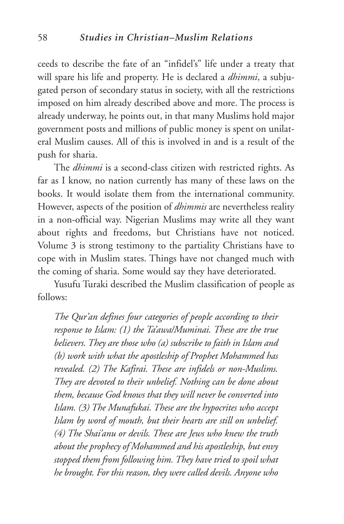ceeds to describe the fate of an "infidel's" life under a treaty that will spare his life and property. He is declared a *dhimmi*, a subjugated person of secondary status in society, with all the restrictions imposed on him already described above and more. The process is already underway, he points out, in that many Muslims hold major government posts and millions of public money is spent on unilateral Muslim causes. All of this is involved in and is a result of the push for sharia.

The *dhimmi* is a second-class citizen with restricted rights. As far as I know, no nation currently has many of these laws on the books. It would isolate them from the international community. However, aspects of the position of *dhimmis* are nevertheless reality in a non-official way. Nigerian Muslims may write all they want about rights and freedoms, but Christians have not noticed. Volume 3 is strong testimony to the partiality Christians have to cope with in Muslim states. Things have not changed much with the coming of sharia. Some would say they have deteriorated.

Yusufu Turaki described the Muslim classification of people as follows:

*The Qur'an defines four categories of people according to their response to Islam: (1) the Ta'awa/Muminai. These are the true believers. They are those who (a) subscribe to faith in Islam and (b) work with what the apostleship of Prophet Mohammed has revealed. (2) The Kafirai. These are infidels or non-Muslims. They are devoted to their unbelief. Nothing can be done about them, because God knows that they will never be converted into Islam. (3) The Munafukai. These are the hypocrites who accept Islam by word of mouth, but their hearts are still on unbelief. (4) The Shai'anu or devils. These are Jews who knew the truth about the prophecy of Mohammed and his apostleship, but envy stopped them from following him. They have tried to spoil what he brought. For this reason, they were called devils. Anyone who*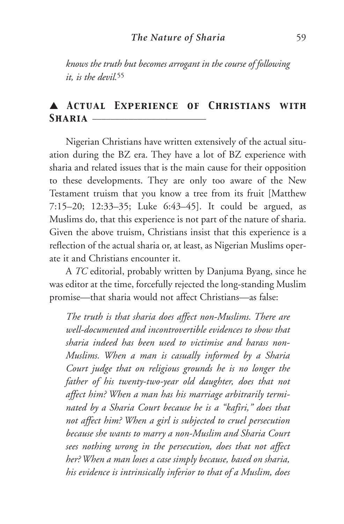*knows the truth but becomes arrogant in the course of following it, is the devil.*<sup>55</sup>

# ▲ *Actual Experience of Christians with* SHARIA **-**

Nigerian Christians have written extensively of the actual situation during the BZ era. They have a lot of BZ experience with sharia and related issues that is the main cause for their opposition to these developments. They are only too aware of the New Testament truism that you know a tree from its fruit [Matthew 7:15–20; 12:33–35; Luke 6:43–45]. It could be argued, as Muslims do, that this experience is not part of the nature of sharia. Given the above truism, Christians insist that this experience is a reflection of the actual sharia or, at least, as Nigerian Muslims operate it and Christians encounter it.

A *TC* editorial, probably written by Danjuma Byang, since he was editor at the time, forcefully rejected the long-standing Muslim promise—that sharia would not affect Christians—as false:

*The truth is that sharia does affect non-Muslims. There are well-documented and incontrovertible evidences to show that sharia indeed has been used to victimise and harass non-Muslims. When a man is casually informed by a Sharia Court judge that on religious grounds he is no longer the father of his twenty-two-year old daughter, does that not affect him? When a man has his marriage arbitrarily terminated by a Sharia Court because he is a "kafiri," does that not affect him? When a girl is subjected to cruel persecution because she wants to marry a non-Muslim and Sharia Court sees nothing wrong in the persecution, does that not affect her? When a man loses a case simply because, based on sharia, his evidence is intrinsically inferior to that of a Muslim, does*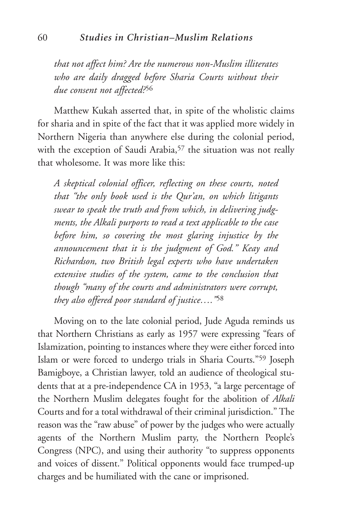*that not affect him? Are the numerous non-Muslim illiterates who are daily dragged before Sharia Courts without their due consent not affected?*<sup>56</sup>

Matthew Kukah asserted that, in spite of the wholistic claims for sharia and in spite of the fact that it was applied more widely in Northern Nigeria than anywhere else during the colonial period, with the exception of Saudi Arabia,<sup>57</sup> the situation was not really that wholesome. It was more like this:

*A skeptical colonial officer, reflecting on these courts, noted that "the only book used is the Qur'an, on which litigants swear to speak the truth and from which, in delivering judgments, the Alkali purports to read a text applicable to the case before him, so covering the most glaring injustice by the announcement that it is the judgment of God." Keay and Richardson, two British legal experts who have undertaken extensive studies of the system, came to the conclusion that though "many of the courts and administrators were corrupt, they also offered poor standard of justice…."*<sup>58</sup>

Moving on to the late colonial period, Jude Aguda reminds us that Northern Christians as early as 1957 were expressing "fears of Islamization, pointing to instances where they were either forced into Islam or were forced to undergo trials in Sharia Courts."59 Joseph Bamigboye, a Christian lawyer, told an audience of theological students that at a pre-independence CA in 1953, "a large percentage of the Northern Muslim delegates fought for the abolition of *Alkali* Courts and for a total withdrawal of their criminal jurisdiction." The reason was the "raw abuse" of power by the judges who were actually agents of the Northern Muslim party, the Northern People's Congress (NPC), and using their authority "to suppress opponents and voices of dissent." Political opponents would face trumped-up charges and be humiliated with the cane or imprisoned.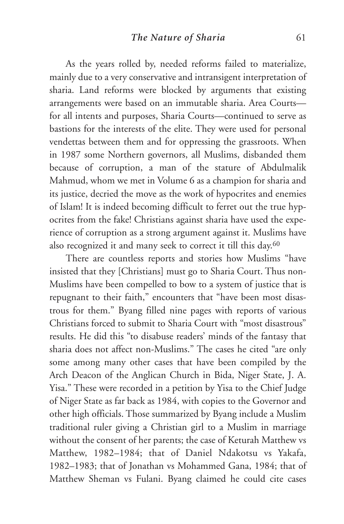As the years rolled by, needed reforms failed to materialize, mainly due to a very conservative and intransigent interpretation of sharia. Land reforms were blocked by arguments that existing arrangements were based on an immutable sharia. Area Courts for all intents and purposes, Sharia Courts—continued to serve as bastions for the interests of the elite. They were used for personal vendettas between them and for oppressing the grassroots. When in 1987 some Northern governors, all Muslims, disbanded them because of corruption, a man of the stature of Abdulmalik Mahmud, whom we met in Volume 6 as a champion for sharia and its justice, decried the move as the work of hypocrites and enemies of Islam! It is indeed becoming difficult to ferret out the true hypocrites from the fake! Christians against sharia have used the experience of corruption as a strong argument against it. Muslims have also recognized it and many seek to correct it till this day.60

There are countless reports and stories how Muslims "have insisted that they [Christians] must go to Sharia Court. Thus non-Muslims have been compelled to bow to a system of justice that is repugnant to their faith," encounters that "have been most disastrous for them." Byang filled nine pages with reports of various Christians forced to submit to Sharia Court with "most disastrous" results. He did this "to disabuse readers' minds of the fantasy that sharia does not affect non-Muslims." The cases he cited "are only some among many other cases that have been compiled by the Arch Deacon of the Anglican Church in Bida, Niger State, J. A. Yisa." These were recorded in a petition by Yisa to the Chief Judge of Niger State as far back as 1984, with copies to the Governor and other high officials. Those summarized by Byang include a Muslim traditional ruler giving a Christian girl to a Muslim in marriage without the consent of her parents; the case of Keturah Matthew vs Matthew, 1982–1984; that of Daniel Ndakotsu vs Yakafa, 1982–1983; that of Jonathan vs Mohammed Gana, 1984; that of Matthew Sheman vs Fulani. Byang claimed he could cite cases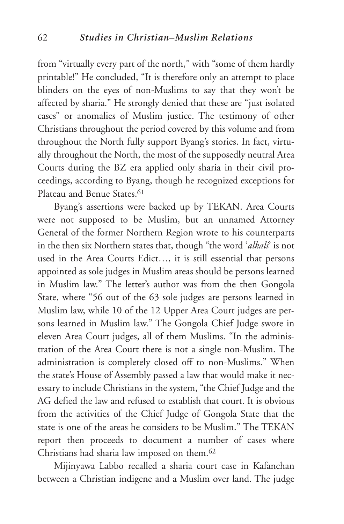from "virtually every part of the north," with "some of them hardly printable!" He concluded, "It is therefore only an attempt to place blinders on the eyes of non-Muslims to say that they won't be affected by sharia." He strongly denied that these are "just isolated cases" or anomalies of Muslim justice. The testimony of other Christians throughout the period covered by this volume and from throughout the North fully support Byang's stories. In fact, virtually throughout the North, the most of the supposedly neutral Area Courts during the BZ era applied only sharia in their civil proceedings, according to Byang, though he recognized exceptions for Plateau and Benue States.61

Byang's assertions were backed up by TEKAN. Area Courts were not supposed to be Muslim, but an unnamed Attorney General of the former Northern Region wrote to his counterparts in the then six Northern states that, though "the word '*alkali*' is not used in the Area Courts Edict…, it is still essential that persons appointed as sole judges in Muslim areas should be persons learned in Muslim law." The letter's author was from the then Gongola State, where "56 out of the 63 sole judges are persons learned in Muslim law, while 10 of the 12 Upper Area Court judges are persons learned in Muslim law." The Gongola Chief Judge swore in eleven Area Court judges, all of them Muslims. "In the administration of the Area Court there is not a single non-Muslim. The administration is completely closed off to non-Muslims." When the state's House of Assembly passed a law that would make it necessary to include Christians in the system, "the Chief Judge and the AG defied the law and refused to establish that court. It is obvious from the activities of the Chief Judge of Gongola State that the state is one of the areas he considers to be Muslim." The TEKAN report then proceeds to document a number of cases where Christians had sharia law imposed on them.62

Mijinyawa Labbo recalled a sharia court case in Kafanchan between a Christian indigene and a Muslim over land. The judge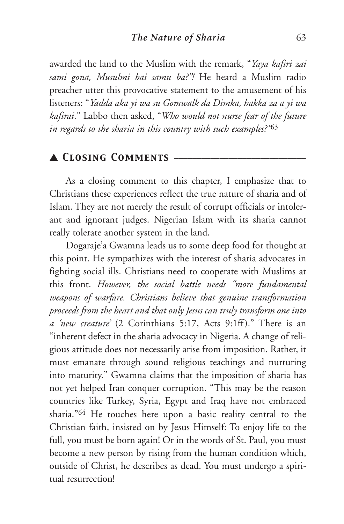awarded the land to the Muslim with the remark, "*Yaya kafiri zai sami gona, Musulmi bai samu ba?"!* He heard a Muslim radio preacher utter this provocative statement to the amusement of his listeners: "*Yadda aka yi wa su Gomwalk da Dimka, hakka za a yi wa kafirai*." Labbo then asked, "*Who would not nurse fear of the future in regards to the sharia in this country with such examples?"*<sup>63</sup>

## ▲ *Closing Comments* \_\_\_\_\_\_\_\_\_\_\_\_\_\_\_\_\_\_\_\_\_\_\_\_\_\_\_\_\_

As a closing comment to this chapter, I emphasize that to Christians these experiences reflect the true nature of sharia and of Islam. They are not merely the result of corrupt officials or intolerant and ignorant judges. Nigerian Islam with its sharia cannot really tolerate another system in the land.

Dogaraje'a Gwamna leads us to some deep food for thought at this point. He sympathizes with the interest of sharia advocates in fighting social ills. Christians need to cooperate with Muslims at this front. *However, the social battle needs "more fundamental weapons of warfare. Christians believe that genuine transformation proceeds from the heart and that only Jesus can truly transform one into a 'new creature'* (2 Corinthians 5:17, Acts 9:1ff)." There is an "inherent defect in the sharia advocacy in Nigeria. A change of religious attitude does not necessarily arise from imposition. Rather, it must emanate through sound religious teachings and nurturing into maturity." Gwamna claims that the imposition of sharia has not yet helped Iran conquer corruption. "This may be the reason countries like Turkey, Syria, Egypt and Iraq have not embraced sharia."64 He touches here upon a basic reality central to the Christian faith, insisted on by Jesus Himself: To enjoy life to the full, you must be born again! Or in the words of St. Paul, you must become a new person by rising from the human condition which, outside of Christ, he describes as dead. You must undergo a spiritual resurrection!